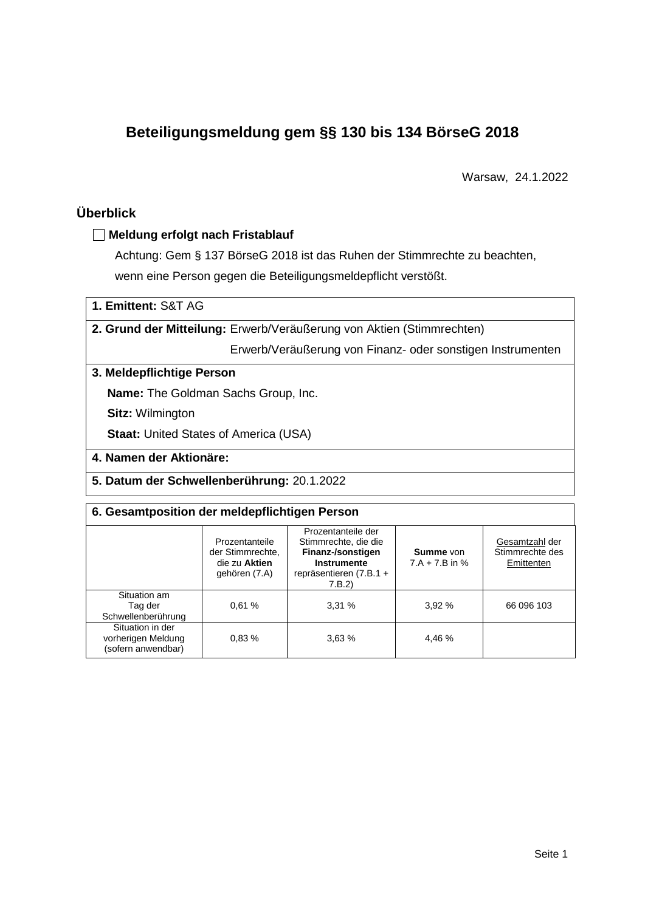# **Beteiligungsmeldung gem §§ 130 bis 134 BörseG 2018**

Warsaw, 24.1.2022

# **Überblick**

# **Meldung erfolgt nach Fristablauf**

Achtung: Gem § 137 BörseG 2018 ist das Ruhen der Stimmrechte zu beachten, wenn eine Person gegen die Beteiligungsmeldepflicht verstößt.

# **1. Emittent:** S&T AG

# **2. Grund der Mitteilung:** Erwerb/Veräußerung von Aktien (Stimmrechten)

Erwerb/Veräußerung von Finanz- oder sonstigen Instrumenten

# **3. Meldepflichtige Person**

**Name:** The Goldman Sachs Group, Inc.

**Sitz:** Wilmington

**Staat: United States of America (USA)** 

# **4. Namen der Aktionäre:**

**5. Datum der Schwellenberührung:** 20.1.2022

### **6. Gesamtposition der meldepflichtigen Person**

|                                                              | Prozentanteile<br>der Stimmrechte.<br>die zu Aktien<br>gehören (7.A) | Prozentanteile der<br>Stimmrechte, die die<br>Finanz-/sonstigen<br><b>Instrumente</b><br>repräsentieren (7.B.1 +<br>7.B.2 | <b>Summe</b> von<br>$7.A + 7.B$ in % | Gesamtzahl der<br>Stimmrechte des<br>Emittenten |
|--------------------------------------------------------------|----------------------------------------------------------------------|---------------------------------------------------------------------------------------------------------------------------|--------------------------------------|-------------------------------------------------|
| Situation am<br>Tag der<br>Schwellenberührung                | 0.61%                                                                | 3,31%                                                                                                                     | 3,92%                                | 66 096 103                                      |
| Situation in der<br>vorherigen Meldung<br>(sofern anwendbar) | 0.83%                                                                | 3,63%                                                                                                                     | 4,46 %                               |                                                 |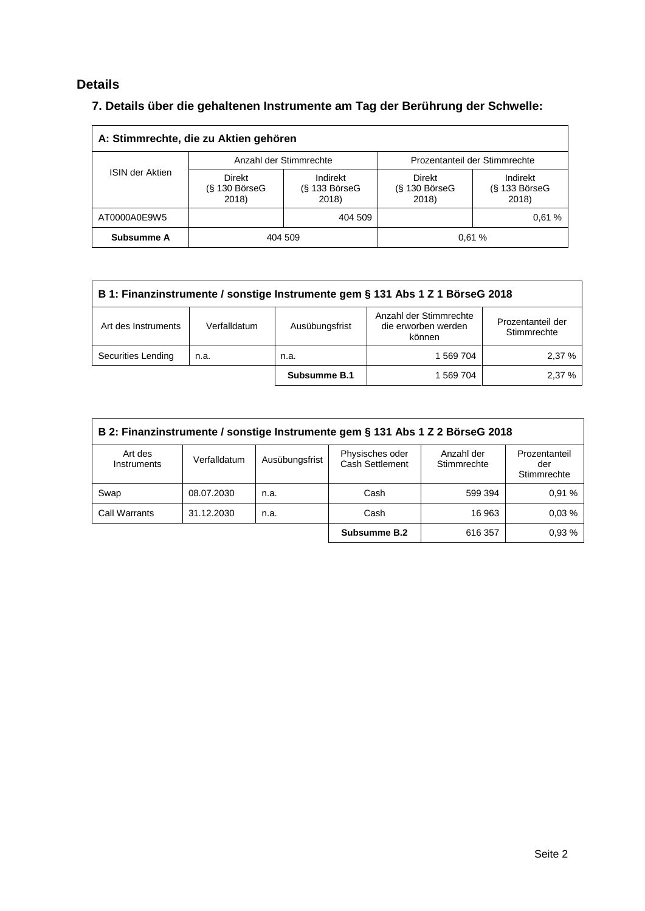# **Details**

# **7. Details über die gehaltenen Instrumente am Tag der Berührung der Schwelle:**

| A: Stimmrechte, die zu Aktien gehören |                                       |                                      |                                           |                                    |  |  |
|---------------------------------------|---------------------------------------|--------------------------------------|-------------------------------------------|------------------------------------|--|--|
|                                       |                                       | Anzahl der Stimmrechte               | Prozentanteil der Stimmrechte             |                                    |  |  |
| <b>ISIN der Aktien</b>                | Direkt<br>$(S$ 130 Börse $G$<br>2018) | Indirekt<br>$(S$ 133 BörseG<br>2018) | <b>Direkt</b><br>$(S$ 130 BörseG<br>2018) | Indirekt<br>(§ 133 BörseG<br>2018) |  |  |
| AT0000A0E9W5                          | 404 509                               |                                      |                                           | 0.61%                              |  |  |
| Subsumme A                            |                                       | 404 509                              |                                           | 0.61%                              |  |  |

| B 1: Finanzinstrumente / sonstige Instrumente gem § 131 Abs 1 Z 1 BörseG 2018 |              |                |                                                         |                                  |  |
|-------------------------------------------------------------------------------|--------------|----------------|---------------------------------------------------------|----------------------------------|--|
| Art des Instruments                                                           | Verfalldatum | Ausübungsfrist | Anzahl der Stimmrechte<br>die erworben werden<br>können | Prozentanteil der<br>Stimmrechte |  |
| Securities Lending                                                            | n.a.         | n.a.           | 1 569 704                                               | 2.37%                            |  |
|                                                                               |              | Subsumme B.1   | 1 569 704                                               | 2.37%                            |  |

| B 2: Finanzinstrumente / sonstige Instrumente gem § 131 Abs 1 Z 2 BörseG 2018 |              |                |                                    |                           |                                     |
|-------------------------------------------------------------------------------|--------------|----------------|------------------------------------|---------------------------|-------------------------------------|
| Art des<br>Instruments                                                        | Verfalldatum | Ausübungsfrist | Physisches oder<br>Cash Settlement | Anzahl der<br>Stimmrechte | Prozentanteil<br>der<br>Stimmrechte |
| Swap                                                                          | 08.07.2030   | n.a.           | Cash                               | 599 394                   | 0.91%                               |
| <b>Call Warrants</b>                                                          | 31.12.2030   | n.a.           | Cash                               | 16 963                    | 0.03%                               |
|                                                                               |              |                | Subsumme B.2                       | 616 357                   | 0.93%                               |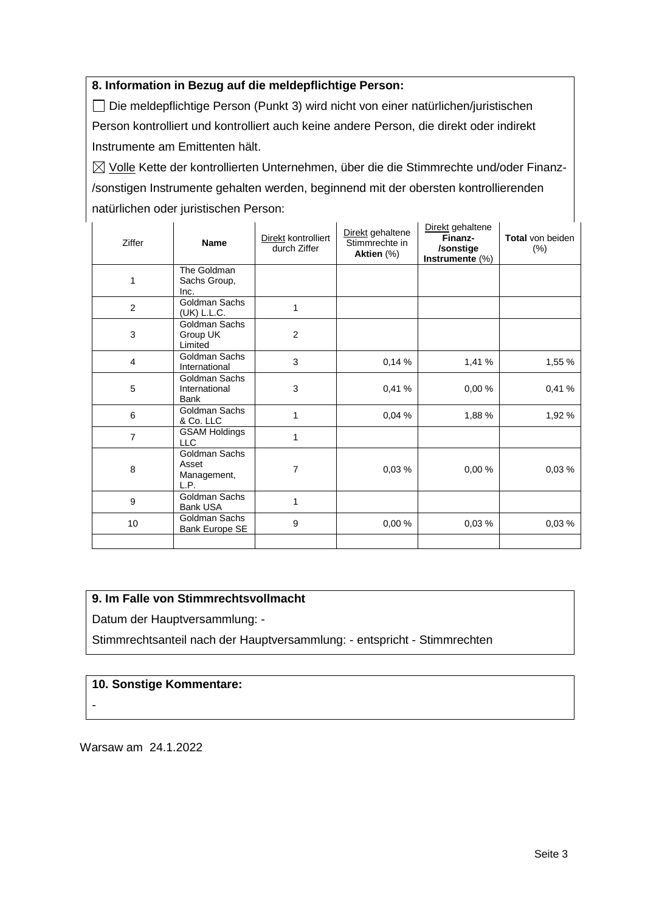# **8. Information in Bezug auf die meldepflichtige Person:**

Die meldepflichtige Person (Punkt 3) wird nicht von einer natürlichen/juristischen Person kontrolliert und kontrolliert auch keine andere Person, die direkt oder indirekt Instrumente am Emittenten hält.

 $\boxtimes$  Volle Kette der kontrollierten Unternehmen, über die die Stimmrechte und/oder Finanz-/sonstigen Instrumente gehalten werden, beginnend mit der obersten kontrollierenden natürlichen oder juristischen Person:

| Ziffer         | <b>Name</b>                                   | Direkt kontrolliert<br>durch Ziffer | Direkt gehaltene<br>Stimmrechte in<br>Aktien (%) | Direkt gehaltene<br>Finanz-<br>/sonstige<br>Instrumente (%) | Total von beiden<br>$(\%)$ |
|----------------|-----------------------------------------------|-------------------------------------|--------------------------------------------------|-------------------------------------------------------------|----------------------------|
| 1              | The Goldman<br>Sachs Group,<br>Inc.           |                                     |                                                  |                                                             |                            |
| 2              | Goldman Sachs<br>(UK) L.L.C.                  | 1                                   |                                                  |                                                             |                            |
| 3              | Goldman Sachs<br>Group UK<br>Limited          | $\overline{2}$                      |                                                  |                                                             |                            |
| 4              | Goldman Sachs<br>International                | 3                                   | 0,14%                                            | 1,41 %                                                      | 1,55 %                     |
| 5              | Goldman Sachs<br>International<br><b>Bank</b> | 3                                   | 0,41 %                                           | 0,00%                                                       | 0,41%                      |
| 6              | Goldman Sachs<br>& Co. LLC                    | 1                                   | 0,04%                                            | 1,88 %                                                      | 1,92 %                     |
| $\overline{7}$ | <b>GSAM Holdings</b><br><b>LLC</b>            | 1                                   |                                                  |                                                             |                            |
| 8              | Goldman Sachs<br>Asset<br>Management,<br>L.P. | 7                                   | 0,03%                                            | 0,00%                                                       | 0,03%                      |
| 9              | Goldman Sachs<br><b>Bank USA</b>              | 1                                   |                                                  |                                                             |                            |
| 10             | Goldman Sachs<br>Bank Europe SE               | 9                                   | 0,00%                                            | 0,03%                                                       | 0,03%                      |
|                |                                               |                                     |                                                  |                                                             |                            |

## **9. Im Falle von Stimmrechtsvollmacht**

Datum der Hauptversammlung: -

Stimmrechtsanteil nach der Hauptversammlung: - entspricht - Stimmrechten

### **10. Sonstige Kommentare:**

-

Warsaw am 24.1.2022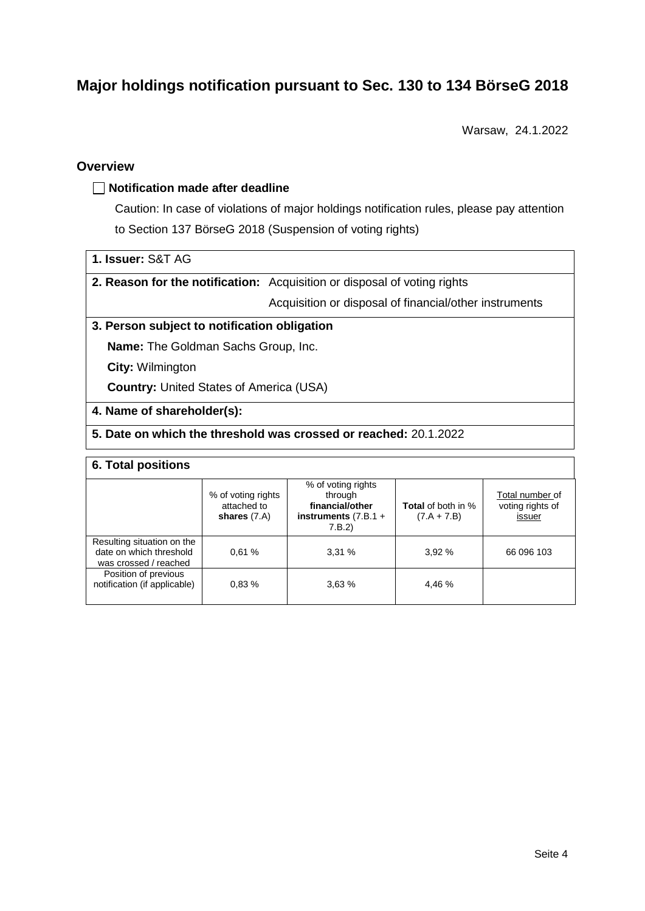# **Major holdings notification pursuant to Sec. 130 to 134 BörseG 2018**

Warsaw, 24.1.2022

# **Overview**

### **Notification made after deadline**

Caution: In case of violations of major holdings notification rules, please pay attention to Section 137 BörseG 2018 (Suspension of voting rights)

| 1. Issuer: S&T AG |
|-------------------|
|-------------------|

**2. Reason for the notification:** Acquisition or disposal of voting rights

Acquisition or disposal of financial/other instruments

### **3. Person subject to notification obligation**

**Name:** The Goldman Sachs Group, Inc.

**City:** Wilmington

**Country:** United States of America (USA)

#### **4. Name of shareholder(s):**

# **5. Date on which the threshold was crossed or reached:** 20.1.2022

#### **6. Total positions**

|                                                                                | % of voting rights<br>attached to<br>shares $(7.A)$ | % of voting rights<br>through<br>financial/other<br>instruments $(7.B.1 +$<br>7.B.2) | <b>Total</b> of both in %<br>$(7.A + 7.B)$ | Total number of<br>voting rights of<br>issuer |
|--------------------------------------------------------------------------------|-----------------------------------------------------|--------------------------------------------------------------------------------------|--------------------------------------------|-----------------------------------------------|
| Resulting situation on the<br>date on which threshold<br>was crossed / reached | 0.61%                                               | 3,31%                                                                                | 3.92%                                      | 66 096 103                                    |
| Position of previous<br>notification (if applicable)                           | 0.83%                                               | 3,63%                                                                                | 4.46 %                                     |                                               |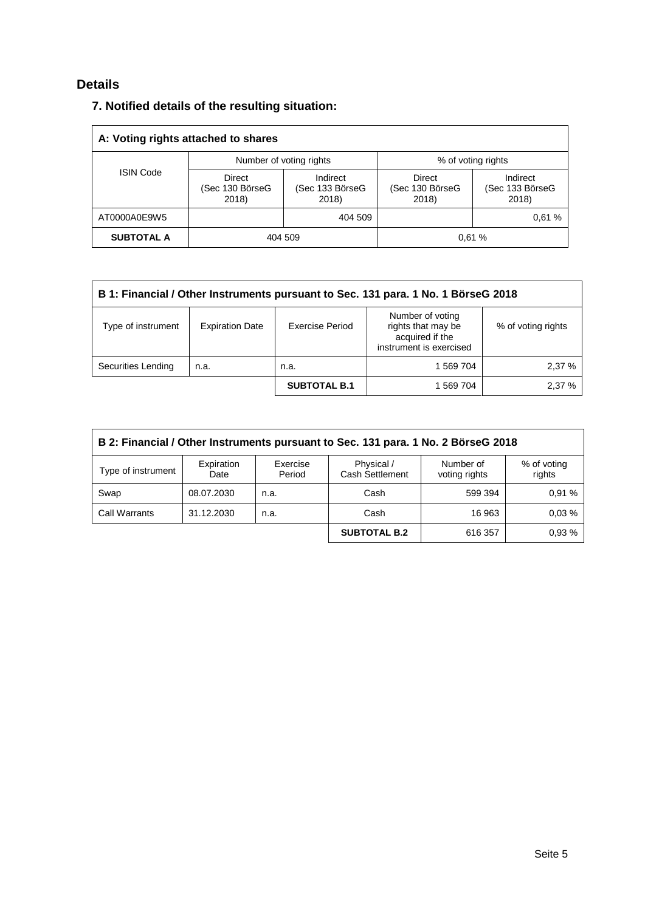# **Details**

| 7. Notified details of the resulting situation: |
|-------------------------------------------------|
|-------------------------------------------------|

| A: Voting rights attached to shares |                                                        |                         |                                    |                                      |  |  |
|-------------------------------------|--------------------------------------------------------|-------------------------|------------------------------------|--------------------------------------|--|--|
|                                     |                                                        | Number of voting rights | % of voting rights                 |                                      |  |  |
|                                     | <b>ISIN Code</b><br>Direct<br>(Sec 130 BörseG<br>2018) |                         | Direct<br>(Sec 130 BörseG<br>2018) | Indirect<br>(Sec 133 BörseG<br>2018) |  |  |
| AT0000A0E9W5                        | 404 509                                                |                         |                                    | 0.61%                                |  |  |
| <b>SUBTOTAL A</b>                   |                                                        | 404 509                 |                                    | 0.61%                                |  |  |

| B 1: Financial / Other Instruments pursuant to Sec. 131 para. 1 No. 1 BörseG 2018 |                        |                        |                                                                                      |                    |  |
|-----------------------------------------------------------------------------------|------------------------|------------------------|--------------------------------------------------------------------------------------|--------------------|--|
| Type of instrument                                                                | <b>Expiration Date</b> | <b>Exercise Period</b> | Number of voting<br>rights that may be<br>acquired if the<br>instrument is exercised | % of voting rights |  |
| Securities Lending                                                                | n.a.                   | n.a.                   | 1 569 704                                                                            | 2,37 %             |  |
|                                                                                   |                        | <b>SUBTOTAL B.1</b>    | 1 569 704                                                                            | 2,37 %             |  |

| B 2: Financial / Other Instruments pursuant to Sec. 131 para. 1 No. 2 BörseG 2018 |                    |                    |                                      |                            |                       |  |
|-----------------------------------------------------------------------------------|--------------------|--------------------|--------------------------------------|----------------------------|-----------------------|--|
| Type of instrument                                                                | Expiration<br>Date | Exercise<br>Period | Physical /<br><b>Cash Settlement</b> | Number of<br>voting rights | % of voting<br>rights |  |
| Swap                                                                              | 08.07.2030         | n.a.               | Cash                                 | 599 394                    | 0.91%                 |  |
| <b>Call Warrants</b>                                                              | 31.12.2030         | n.a.               | Cash                                 | 16 963                     | 0.03%                 |  |
|                                                                                   |                    |                    | <b>SUBTOTAL B.2</b>                  | 616 357                    | 0.93%                 |  |